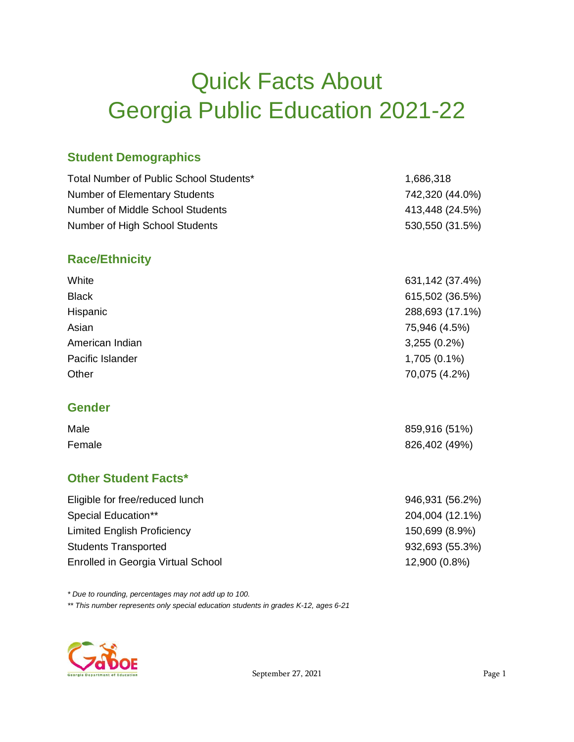# Quick Facts About Georgia Public Education 2021-22

## **Student Demographics**

| Total Number of Public School Students* | 1,686,318       |
|-----------------------------------------|-----------------|
| <b>Number of Elementary Students</b>    | 742,320 (44.0%) |
| Number of Middle School Students        | 413,448 (24.5%) |
| Number of High School Students          | 530,550 (31.5%) |
|                                         |                 |

### **Race/Ethnicity**

| <b>Black</b><br>Hispanic<br>Asian<br>75,946 (4.5%)<br>American Indian<br>$3,255(0.2\%)$<br>$1,705(0.1\%)$<br>Pacific Islander<br>70,075 (4.2%)<br>Other | White | 631, 142 (37.4%) |
|---------------------------------------------------------------------------------------------------------------------------------------------------------|-------|------------------|
|                                                                                                                                                         |       | 615,502 (36.5%)  |
|                                                                                                                                                         |       | 288,693 (17.1%)  |
|                                                                                                                                                         |       |                  |
|                                                                                                                                                         |       |                  |
|                                                                                                                                                         |       |                  |
|                                                                                                                                                         |       |                  |

#### **Gender**

| Male   | 859,916 (51%) |
|--------|---------------|
| Female | 826,402 (49%) |

## **Other Student Facts\***

| Eligible for free/reduced lunch    | 946,931 (56.2%) |
|------------------------------------|-----------------|
| Special Education**                | 204,004 (12.1%) |
| <b>Limited English Proficiency</b> | 150,699 (8.9%)  |
| <b>Students Transported</b>        | 932,693 (55.3%) |
| Enrolled in Georgia Virtual School | 12,900 (0.8%)   |

*\* Due to rounding, percentages may not add up to 100.* 

*\*\* This number represents only special education students in grades K-12, ages 6-21*

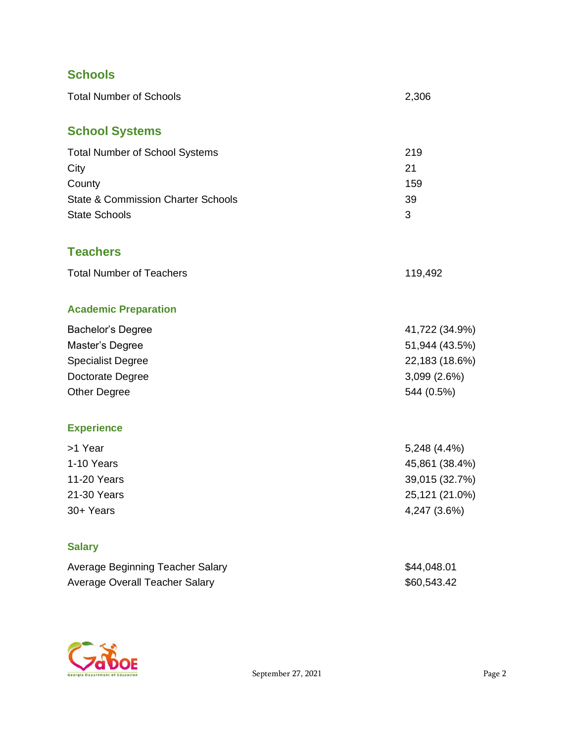## **Schools**

| <b>Total Number of Schools</b>                                                                                                   | 2,306                                                                              |
|----------------------------------------------------------------------------------------------------------------------------------|------------------------------------------------------------------------------------|
| <b>School Systems</b>                                                                                                            |                                                                                    |
| <b>Total Number of School Systems</b><br>City<br>County<br><b>State &amp; Commission Charter Schools</b><br><b>State Schools</b> | 219<br>21<br>159<br>39<br>3                                                        |
| <b>Teachers</b>                                                                                                                  |                                                                                    |
| <b>Total Number of Teachers</b>                                                                                                  | 119,492                                                                            |
| <b>Academic Preparation</b>                                                                                                      |                                                                                    |
| Bachelor's Degree<br>Master's Degree<br><b>Specialist Degree</b><br>Doctorate Degree<br><b>Other Degree</b>                      | 41,722 (34.9%)<br>51,944 (43.5%)<br>22,183 (18.6%)<br>3,099 (2.6%)<br>544 (0.5%)   |
| <b>Experience</b>                                                                                                                |                                                                                    |
| >1 Year<br>1-10 Years<br><b>11-20 Years</b><br>21-30 Years<br>30+ Years                                                          | 5,248 (4.4%)<br>45,861 (38.4%)<br>39,015 (32.7%)<br>25,121 (21.0%)<br>4,247 (3.6%) |
| <b>Salary</b>                                                                                                                    |                                                                                    |
| Average Beginning Teacher Salary<br>Average Overall Teacher Salary                                                               | \$44,048.01<br>\$60,543.42                                                         |